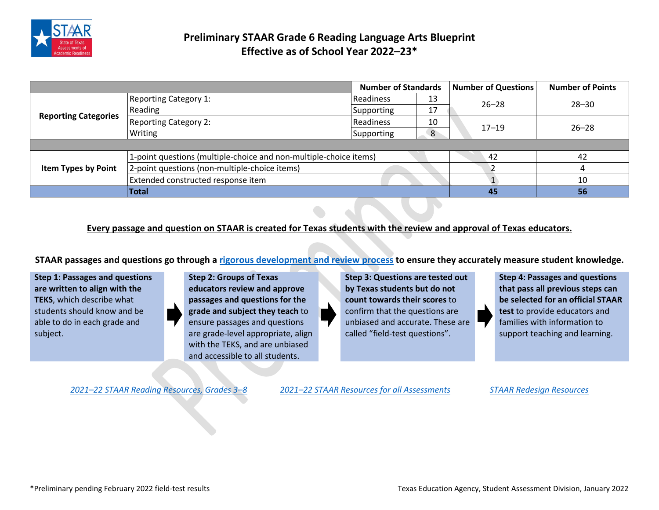

## **Preliminary STAAR Grade 6 Reading Language Arts Blueprint Effective as of School Year 2022–23\***

| <b>Number of Standards</b>  |                                                                   | <b>Number of Questions</b> | <b>Number of Points</b> |           |           |
|-----------------------------|-------------------------------------------------------------------|----------------------------|-------------------------|-----------|-----------|
| <b>Reporting Categories</b> | <b>Reporting Category 1:</b>                                      | <b>Readiness</b>           | 13                      | $26 - 28$ | $28 - 30$ |
|                             | Reading                                                           | Supporting                 | 17                      |           |           |
|                             | <b>Reporting Category 2:</b>                                      | <b>Readiness</b>           | 10                      | $17 - 19$ | $26 - 28$ |
|                             | Writing                                                           | <b>Supporting</b>          | 8                       |           |           |
|                             |                                                                   |                            |                         |           |           |
| <b>Item Types by Point</b>  | 1-point questions (multiple-choice and non-multiple-choice items) |                            |                         | 42        |           |
|                             | 2-point questions (non-multiple-choice items)                     |                            |                         |           |           |
|                             | Extended constructed response item                                |                            |                         |           | 10        |
|                             | <b>Total</b>                                                      |                            |                         | 45        | 56        |

## **Every passage and question on STAAR is created for Texas students with the review and approval of Texas educators.**

**STAAR passages and questions go through [a rigorous development and review process](https://tea.texas.gov/sites/default/files/techdigest-2020-2021-chapter2.pdf) to ensure they accurately measure student knowledge.**

**Step 1: Passages and questions are written to align with the TEKS**, which describe what students should know and be able to do in each grade and subject.

**Step 2: Groups of Texas educators review and approve passages and questions for the grade and subject they teach** to ensure passages and questions are grade-level appropriate, align with the TEKS, and are unbiased and accessible to all students.

**Step 3: Questions are tested out by Texas students but do not count towards their scores** to confirm that the questions are unbiased and accurate. These are called "field-test questions".

**Step 4: Passages and questions that pass all previous steps can be selected for an official STAAR test** to provide educators and families with information to support teaching and learning.

*2021–22 [STAAR Reading Resources, Grades 3–8](https://tea.texas.gov/student-assessment/testing/staar/staar-reading-resources) 2021–22 [STAAR Resources for all](https://tea.texas.gov/student-assessment/testing/staar/staar-resources) Assessments [STAAR Redesign Resources](https://tea.texas.gov/student-assessment/assessment-initiatives/hb-3906/staar-redesign)*